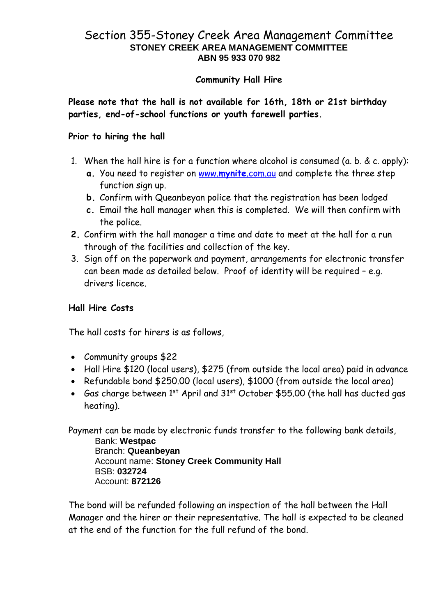## Section 355-Stoney Creek Area Management Committee **STONEY CREEK AREA MANAGEMENT COMMITTEE ABN 95 933 070 982**

### **Community Hall Hire**

**Please note that the hall is not available for 16th, 18th or 21st birthday parties, end-of-school functions or youth farewell parties.**

#### **Prior to hiring the hall**

- 1. When the hall hire is for a function where alcohol is consumed (a. b. & c. apply):
	- **a.** You need to register on www.**mynite**[.com.au](http://www.mynite.com.au/) and complete the three step function sign up.
	- **b.** Confirm with Queanbeyan police that the registration has been lodged
	- **c.** Email the hall manager when this is completed. We will then confirm with the police.
- **2.** Confirm with the hall manager a time and date to meet at the hall for a run through of the facilities and collection of the key.
- 3. Sign off on the paperwork and payment, arrangements for electronic transfer can been made as detailed below. Proof of identity will be required – e.g. drivers licence.

### **Hall Hire Costs**

The hall costs for hirers is as follows,

- Community groups \$22
- Hall Hire \$120 (local users), \$275 (from outside the local area) paid in advance
- Refundable bond \$250.00 (local users), \$1000 (from outside the local area)
- Gas charge between 1st April and 31st October \$55.00 (the hall has ducted gas heating).

Payment can be made by electronic funds transfer to the following bank details, Bank: **Westpac** Branch: **Queanbeyan** Account name: **Stoney Creek Community Hall** BSB: **032724** Account: **872126**

The bond will be refunded following an inspection of the hall between the Hall Manager and the hirer or their representative. The hall is expected to be cleaned at the end of the function for the full refund of the bond.